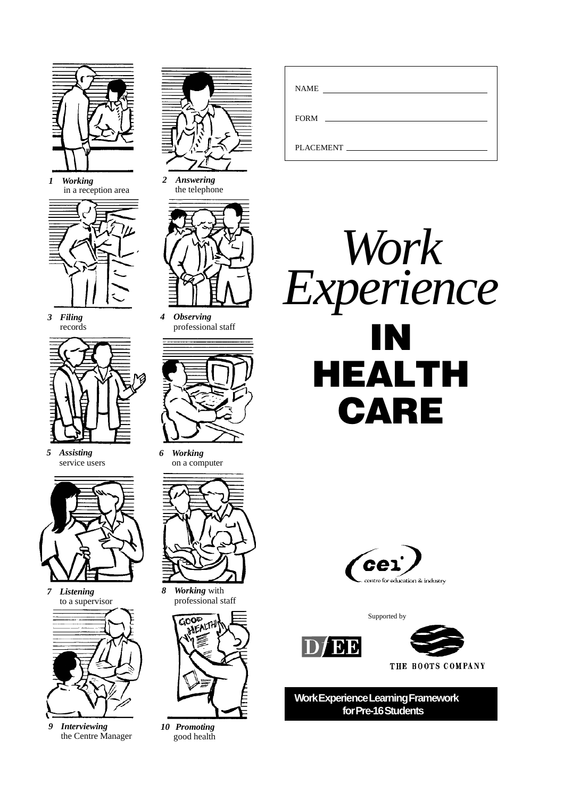

*1 Working* in a reception area



*3 Filing* records



*5 Assisting* service users



*7 Listening*



*9 Interviewing* the Centre Manager



*2 Answering* the telephone



*4 Observing* professional staff



*6 Working* on a computer



*8 Working* with professional staff



*10 Promoting* good health

| <b>NAME</b>          |
|----------------------|
| <b>FORM</b>          |
| PLACEMENT FILACEMENT |





Supported by





**Work Experience Learning Framework for Pre-16 Students**